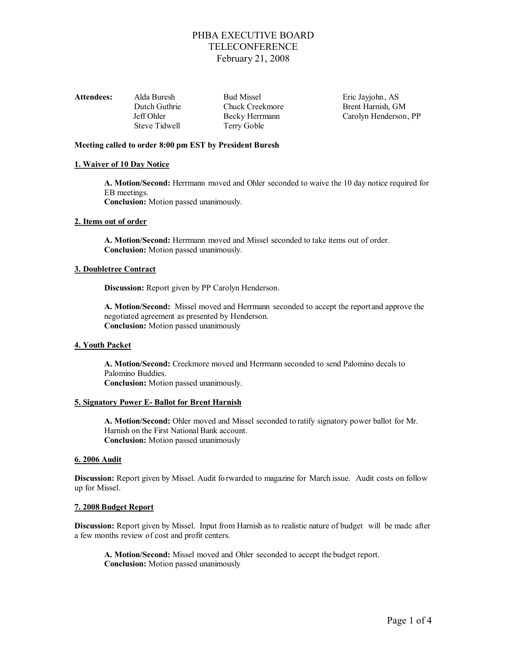| Attendees: | Alda Buresh   | <b>Bud Missel</b> | Eric Jayjohn, AS      |
|------------|---------------|-------------------|-----------------------|
|            | Dutch Guthrie | Chuck Creekmore   | Brent Harnish, GM     |
|            | Jeff Ohler    | Becky Herrmann    | Carolyn Henderson, PP |
|            | Steve Tidwell | Terry Goble       |                       |

## **Meeting called to order 8:00 pm EST by President Buresh**

## **1. Waiver of 10 Day Notice**

**A. Motion/Second:** Herrmann moved and Ohler seconded to waive the 10 day notice required for EB meetings.

**Conclusion:** Motion passed unanimously.

## **2. Items out of order**

**A. Motion/Second:** Herrmann moved and Missel seconded to take items out of order. **Conclusion:** Motion passed unanimously.

## **3. Doubletree Contract**

**Discussion:** Report given by PP Carolyn Henderson.

**A. Motion/Second:** Missel moved and Herrmann seconded to accept the report and approve the negotiated agreement as presented by Henderson. **Conclusion:** Motion passed unanimously

## **4. Youth Packet**

**A. Motion/Second:** Creekmore moved and Herrmann seconded to send Palomino decals to Palomino Buddies. **Conclusion:** Motion passed unanimously.

#### **5. Signatory Power E- Ballot for Brent Harnish**

**A. Motion/Second:** Ohler moved and Missel seconded to ratify signatory power ballot for Mr. Harnish on the First National Bank account. **Conclusion:** Motion passed unanimously

#### **6. 2006 Audit**

**Discussion:** Report given by Missel. Audit forwarded to magazine for March issue. Audit costs on follow up for Missel.

## **7. 2008 Budget Report**

**Discussion:** Report given by Missel. Input from Harnish as to realistic nature of budget will be made after a few months review of cost and profit centers.

**A. Motion/Second:** Missel moved and Ohler seconded to accept the budget report. **Conclusion:** Motion passed unanimously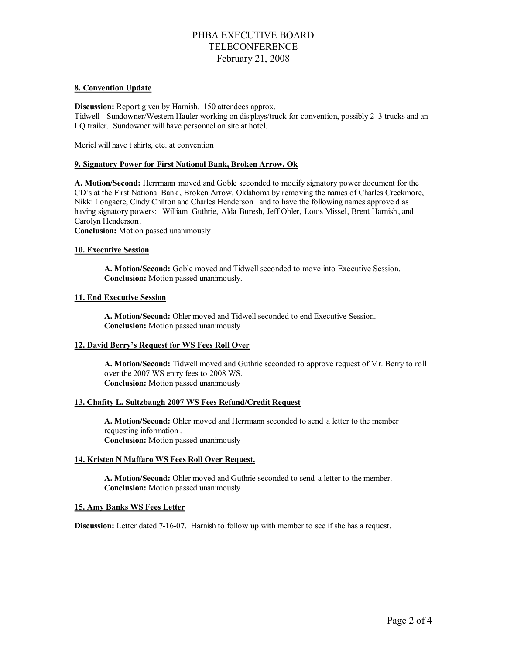## **8. Convention Update**

**Discussion:** Report given by Harnish. 150 attendees approx. Tidwell –Sundowner/Western Hauler working on dis plays/truck for convention, possibly 2 -3 trucks and an LQ trailer. Sundowner will have personnel on site at hotel.

Meriel will have t shirts, etc. at convention

## **9. Signatory Power for First National Bank, Broken Arrow, Ok**

**A. Motion/Second:** Herrmann moved and Goble seconded to modify signatory power document for the CD's at the First National Bank , Broken Arrow, Oklahoma by removing the names of Charles Creekmore, Nikki Longacre, Cindy Chilton and Charles Henderson and to have the following names approve d as having signatory powers: William Guthrie, Alda Buresh, Jeff Ohler, Louis Missel, Brent Harnish , and Carolyn Henderson.

**Conclusion:** Motion passed unanimously

## **10. Executive Session**

**A. Motion/Second:** Goble moved and Tidwell seconded to move into Executive Session. **Conclusion:** Motion passed unanimously.

## **11. End Executive Session**

**A. Motion/Second:** Ohler moved and Tidwell seconded to end Executive Session. **Conclusion:** Motion passed unanimously

## **12. David Berry's Request for WS Fees Roll Over**

**A. Motion/Second:** Tidwell moved and Guthrie seconded to approve request of Mr. Berry to roll over the 2007 WS entry fees to 2008 WS. **Conclusion:** Motion passed unanimously

## **13. Chafity L. Sultzbaugh 2007 WS Fees Refund/Credit Request**

**A. Motion/Second:** Ohler moved and Herrmann seconded to send a letter to the member requesting information . **Conclusion:** Motion passed unanimously

#### **14. Kristen N Maffaro WS Fees Roll Over Request.**

**A. Motion/Second:** Ohler moved and Guthrie seconded to send a letter to the member. **Conclusion:** Motion passed unanimously

#### **15. Amy Banks WS Fees Letter**

**Discussion:** Letter dated 7-16-07. Harnish to follow up with member to see if she has a request.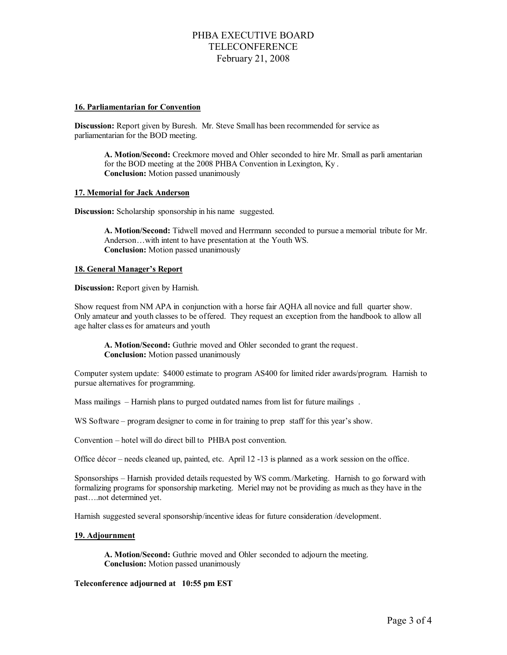## **16. Parliamentarian for Convention**

**Discussion:** Report given by Buresh. Mr. Steve Small has been recommended for service as parliamentarian for the BOD meeting.

**A. Motion/Second:** Creekmore moved and Ohler seconded to hire Mr. Small as parli amentarian for the BOD meeting at the 2008 PHBA Convention in Lexington, Ky . **Conclusion:** Motion passed unanimously

#### **17. Memorial for Jack Anderson**

**Discussion:** Scholarship sponsorship in his name suggested.

**A. Motion/Second:** Tidwell moved and Herrmann seconded to pursue a memorial tribute for Mr. Anderson…with intent to have presentation at the Youth WS. **Conclusion:** Motion passed unanimously

## **18. General Manager's Report**

**Discussion:** Report given by Harnish.

Show request from NM APA in conjunction with a horse fair AQHA all novice and full quarter show. Only amateur and youth classes to be offered. They request an exception from the handbook to allow all age halter class es for amateurs and youth

**A. Motion/Second:** Guthrie moved and Ohler seconded to grant the request. **Conclusion:** Motion passed unanimously

Computer system update: \$4000 estimate to program AS400 for limited rider awards/program. Harnish to pursue alternatives for programming.

Mass mailings – Harnish plans to purged outdated names from list for future mailings.

WS Software – program designer to come in for training to prep staff for this year's show.

Convention – hotel will do direct bill to PHBA post convention.

Office décor – needs cleaned up, painted, etc. April 12 -13 is planned as a work session on the office.

Sponsorships – Harnish provided details requested by WS comm./Marketing. Harnish to go forward with formalizing programs for sponsorship marketing. Meriel may not be providing as much as they have in the past….not determined yet.

Harnish suggested several sponsorship/incentive ideas for future consideration /development.

#### **19. Adjournment**

**A. Motion/Second:** Guthrie moved and Ohler seconded to adjourn the meeting. **Conclusion:** Motion passed unanimously

## **Teleconference adjourned at 10:55 pm EST**